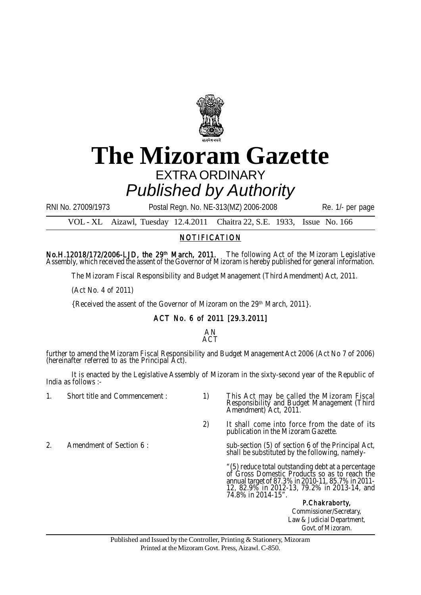

## **The Mizoram Gazette** EXTRA ORDINARY *Published by Authority*

RNI No. 27009/1973 Postal Regn. No. NE-313(MZ) 2006-2008 Re. 1/- per page

VOL - XL Aizawl, Tuesday 12.4.2011 Chaitra 22, S.E. 1933, Issue No. 166

## NOTIFICATION

No.H.12018/172/2006-LJD, the 29<sup>th</sup> March, 2011. The following Act of the Mizoram Legislative Assembly, which received the assent of the Governor of Mizoram is hereby published for general information.

The Mizoram Fiscal Responsibility and Budget Management (Third Amendment) Act, 2011.

(Act No. 4 of 2011)

{Received the assent of the Governor of Mizoram on the 29th March, 2011}.

## ACT No. 6 of 2011 [29.3.2011]

## AN ACT

further to amend the Mizoram Fiscal Responsibility and Budget Management Act 2006 (Act No 7 of 2006) (hereinafter referred to as the Principal Act).

It is enacted by the Legislative Assembly of Mizoram in the sixty-second year of the Republic of India as follows :-

- 
- 1. Short title and Commencement : 1) This Act may be called the Mizoram Fiscal Responsibility and Budget Management (Third Amendment) Act, 2011.
	- 2) It shall come into force from the date of its publication in the Mizoram Gazette.
- 
- 2. Amendment of Section 6: sub-section (5) of section 6 of the Principal Act, shall be substituted by the following, namely-

"(5) reduce total outstanding debt at a percentage of Gross Domestic Products so as to reach the annual target of 87.3% in 2010-11, 85.7% in 2011- 12, 82.9% in 2012-13, 79.2% in 2013-14, and 74.8% in 2014-15".

P.Chakraborty, Commissioner/Secretary, Law & Judicial Department, Govt. of Mizoram.